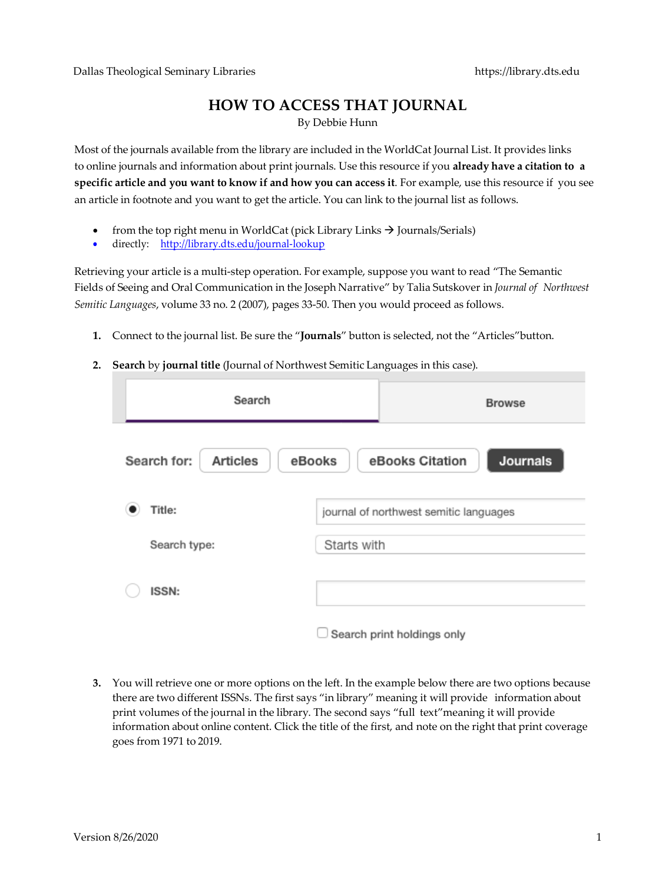## **HOW TO ACCESS THAT JOURNAL**

By Debbie Hunn

Most of the journals available from the library are included in the WorldCat Journal List. It provides links to online journals and information about print journals. Use this resource if you **already have a citation to a specific article and you want to know if and how you can access it**. For example, use this resource if you see an article in footnote and you want to get the article. You can link to the journal list as follows.

- from the top right menu in WorldCat (pick Library Links  $\rightarrow$  Journals/Serials)
- directly: http://library.dts.edu/journal-lookup

Retrieving your article is a multi-step operation. For example, suppose you want to read "The Semantic Fields of Seeing and Oral Communication in the Joseph Narrative" by Talia Sutskover in *Journal of Northwest Semitic Languages*, volume 33 no. 2 (2007), pages 33-50. Then you would proceed as follows.

- **1.** Connect to the journal list. Be sure the "**Journals**" button is selected, not the "Articles"button.
- **2. Search** by **journal title** (Journal of Northwest Semitic Languages in this case).

| Search                                                                         |                                        | <b>Browse</b>              |  |  |  |
|--------------------------------------------------------------------------------|----------------------------------------|----------------------------|--|--|--|
| <b>Journals</b><br>Search for:<br>eBooks Citation<br><b>Articles</b><br>eBooks |                                        |                            |  |  |  |
| Title:                                                                         | journal of northwest semitic languages |                            |  |  |  |
| Search type:                                                                   | Starts with                            |                            |  |  |  |
| <b>ISSN:</b>                                                                   |                                        |                            |  |  |  |
|                                                                                |                                        | Search print holdings only |  |  |  |

**3.** You will retrieve one or more options on the left. In the example below there are two options because there are two different ISSNs. The first says "in library" meaning it will provide information about print volumes of the journal in the library. The second says "full text"meaning it will provide information about online content. Click the title of the first, and note on the right that print coverage goes from 1971 to 2019.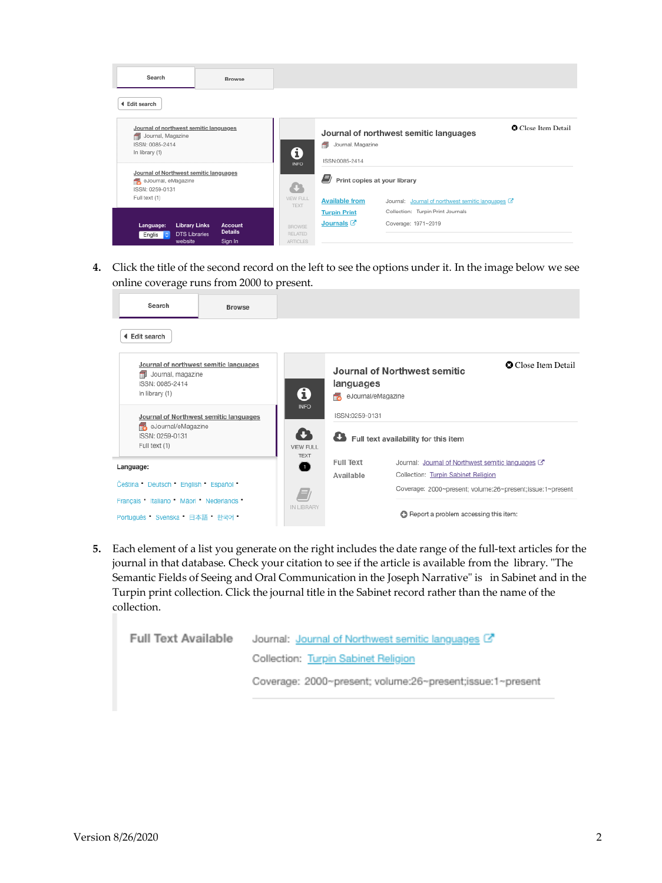| Search                                                                                                    | Browse                                                                               |                                             |                                              |                                                                                        |
|-----------------------------------------------------------------------------------------------------------|--------------------------------------------------------------------------------------|---------------------------------------------|----------------------------------------------|----------------------------------------------------------------------------------------|
| 4 Edit search                                                                                             |                                                                                      |                                             |                                              |                                                                                        |
| Journal of northwest semitic languages<br>Journal, Magazine<br>æ<br>ISSN: 0085-2414<br>In library (1)     |                                                                                      | A                                           | Journal, Magazine<br>æ<br>ISSN:0085-2414     | <b>O</b> Close Item Detail<br>Journal of northwest semitic languages                   |
| <b>INFO</b><br>Journal of Northwest semitic languages<br>eJournal, eMagazine<br>÷<br>o<br>ISSN: 0259-0131 |                                                                                      | E)<br>Print copies at your library          |                                              |                                                                                        |
| Full text (1)                                                                                             |                                                                                      | VIEW FULL<br><b>TEXT</b>                    | <b>Available from</b><br><b>Turpin Print</b> | Journal: Journal of northwest semitic languages C<br>Collection: Turpin Print Journals |
| Language:<br>Englis c<br>website                                                                          | <b>Library Links</b><br>Account<br><b>Details</b><br><b>DTS Libraries</b><br>Sign In | <b>BROWSE</b><br><b>RELATED</b><br>ARTICLES | Journals <sup>[7]</sup>                      | Coverage: 1971~2019                                                                    |

**4.** Click the title of the second record on the left to see the options under it. In the image below we see online coverage runs from 2000 to present.

| Search                                                 | <b>Browse</b>                          |                                       |                                 |                                                           |                            |  |
|--------------------------------------------------------|----------------------------------------|---------------------------------------|---------------------------------|-----------------------------------------------------------|----------------------------|--|
| <b>4 Edit search</b>                                   |                                        |                                       |                                 |                                                           |                            |  |
| Journal, magazine<br>ISSN: 0085-2414<br>In library (1) | Journal of northwest semitic languages | 0                                     | languages<br>eJournal/eMagazine | Journal of Northwest semitic                              | <b>O</b> Close Item Detail |  |
|                                                        | Journal of Northwest semitic languages | <b>INFO</b>                           | ISSN:0259-0131                  |                                                           |                            |  |
| eJournal/eMagazine<br>ISSN: 0259-0131<br>Full text (1) |                                        | £3<br><b>VIEW FULL</b><br><b>TEXT</b> |                                 | Full text availability for this item                      |                            |  |
| Language:<br>Čeština Deutsch English Español           |                                        | 0                                     | Full Text                       | Journal: Journal of Northwest semitic languages C         |                            |  |
|                                                        |                                        |                                       | Available                       | Collection: Turpin Sabinet Religion                       |                            |  |
|                                                        |                                        |                                       |                                 | Coverage: 2000~present; volume:26~present;issue:1~present |                            |  |
| Français Italiano Mãori Nederlands                     |                                        | IN LIBRARY                            |                                 |                                                           |                            |  |
| Português Svenska 日本語 한국어                              |                                        |                                       |                                 | Report a problem accessing this item:                     |                            |  |

**5.** Each element of a list you generate on the right includes the date range of the full-text articles for the journal in that database. Check your citation to see if the article is available from the library. "The Semantic Fields of Seeing and Oral Communication in the Joseph Narrative" is in Sabinet and in the Turpin print collection. Click the journal title in the Sabinet record rather than the name of the collection.

| Full Text Available | Journal: Journal of Northwest semitic languages L'        |
|---------------------|-----------------------------------------------------------|
|                     | Collection: Turpin Sabinet Religion                       |
|                     | Coverage: 2000~present; volume:26~present;issue:1~present |